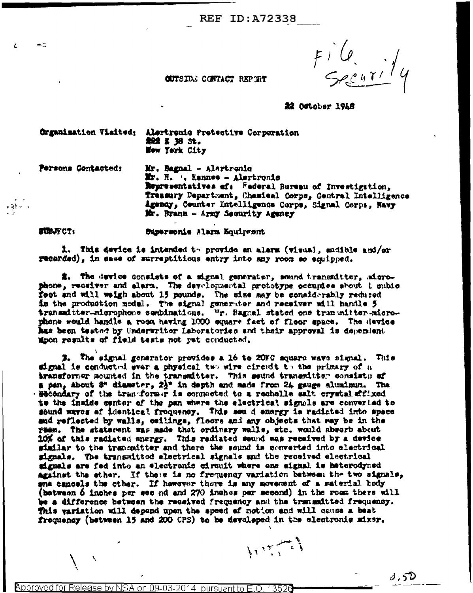**REF ID: A72338** 

 $F^{\prime}$   $G$ .

## CUTSIDE CONTACT REPORT

22 October 1948

Organisation Visited: Alertronic Protective Corporation **触到 3 36 5t。** Wew York City

 $-2$ 

Persons Contacted: Mr. Bagnal - Alertronio Mr. H. ', Kannee - Alertronic Representatives of: Federal Bureau of Investigation, Treasury Department, Chemical Corps, Central Intelligence Agency, Counter Intelligence Corps, Signal Corps, Navy Mr. Brann - Army Security Agency

**SUBJFCT:** Supersonie Alarn Equipment

1. This device is intended to provide an alarm (visual, sudible and/or recorded), in case of surreptitious entry into may room so equipped.

2. The device consists of a signal generator, sound transmitter, microphone, receiver and alars. The developmental prototype occupies shout 1 cubic fect and will weigh about 15 pounds. The size may be considerably reduced in the production nodel. The signal generator and receiver will handle 5 transmitter-microphone combinations. Wr. Bagnal stated one transmitter-microphone would handle a room having 1000 square feet of floor space. The device has been tested by Underwriter Laboratories and their approval is dependent moon regults of field tests not yet conducted.

3. The eignal generator provides a 16 to 20FC square wave signal. This signal is conducted ever a physical two wire circuit to the primary of a transformer mounted in the transmitter. This seund transmitter consists of a pan, about 8" diameter,  $2\frac{1}{2}$ " in depth and made from  $24$  gauge aluminum. The Hecondary of the transformer is connected to a rechelle salt crystal affixed to the inside conter of the pan where the electrical signals are converted to sound waves of identical frequency. This sen d energy is radiated into space and reflected by walls, ceilings, fleors and any objects that may be in the ream. The statement was made that ordinary walls, etc. would absorb about 10% of this radiated snargy. This radiated seund was received by a device similar to the transmitter and there the sound is converted into electrical signals. The transmitted electrical signals and the received electrical signals are fed into an electronic circuit where one aignal is heterodyned against the ether. If these is no frequency variation between the two signals, ena cancels the other. If however there is any movement of a material body (between 6 inches per sec nd and 270 inches per second) in the room there will be a difference between the reseived frequency and the transmitted frequency. This variation will depend upon the speed of notion and will cause a beat frequency (between 15 and 200 CPS) to be developed in the electronic mixer.

 $\sum_{i=1}^n$